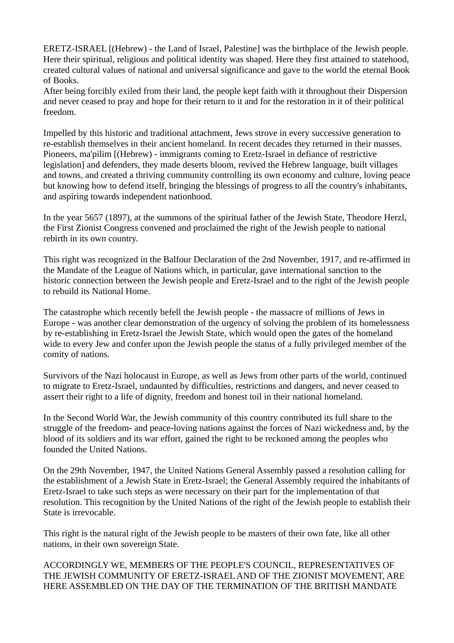ERETZ-ISRAEL [(Hebrew) - the Land of Israel, Palestine] was the birthplace of the Jewish people. Here their spiritual, religious and political identity was shaped. Here they first attained to statehood, created cultural values of national and universal significance and gave to the world the eternal Book of Books.

After being forcibly exiled from their land, the people kept faith with it throughout their Dispersion and never ceased to pray and hope for their return to it and for the restoration in it of their political freedom.

Impelled by this historic and traditional attachment, Jews strove in every successive generation to re-establish themselves in their ancient homeland. In recent decades they returned in their masses. Pioneers, ma'pilim [(Hebrew) - immigrants coming to Eretz-Israel in defiance of restrictive legislation] and defenders, they made deserts bloom, revived the Hebrew language, built villages and towns, and created a thriving community controlling its own economy and culture, loving peace but knowing how to defend itself, bringing the blessings of progress to all the country's inhabitants, and aspiring towards independent nationhood.

In the year 5657 (1897), at the summons of the spiritual father of the Jewish State, Theodore Herzl, the First Zionist Congress convened and proclaimed the right of the Jewish people to national rebirth in its own country.

This right was recognized in the Balfour Declaration of the 2nd November, 1917, and re-affirmed in the Mandate of the League of Nations which, in particular, gave international sanction to the historic connection between the Jewish people and Eretz-Israel and to the right of the Jewish people to rebuild its National Home.

The catastrophe which recently befell the Jewish people - the massacre of millions of Jews in Europe - was another clear demonstration of the urgency of solving the problem of its homelessness by re-establishing in Eretz-Israel the Jewish State, which would open the gates of the homeland wide to every Jew and confer upon the Jewish people the status of a fully privileged member of the comity of nations.

Survivors of the Nazi holocaust in Europe, as well as Jews from other parts of the world, continued to migrate to Eretz-Israel, undaunted by difficulties, restrictions and dangers, and never ceased to assert their right to a life of dignity, freedom and honest toil in their national homeland.

In the Second World War, the Jewish community of this country contributed its full share to the struggle of the freedom- and peace-loving nations against the forces of Nazi wickedness and, by the blood of its soldiers and its war effort, gained the right to be reckoned among the peoples who founded the United Nations.

On the 29th November, 1947, the United Nations General Assembly passed a resolution calling for the establishment of a Jewish State in Eretz-Israel; the General Assembly required the inhabitants of Eretz-Israel to take such steps as were necessary on their part for the implementation of that resolution. This recognition by the United Nations of the right of the Jewish people to establish their State is irrevocable.

This right is the natural right of the Jewish people to be masters of their own fate, like all other nations, in their own sovereign State.

ACCORDINGLY WE, MEMBERS OF THE PEOPLE'S COUNCIL, REPRESENTATIVES OF THE JEWISH COMMUNITY OF ERETZ-ISRAEL AND OF THE ZIONIST MOVEMENT, ARE HERE ASSEMBLED ON THE DAY OF THE TERMINATION OF THE BRITISH MANDATE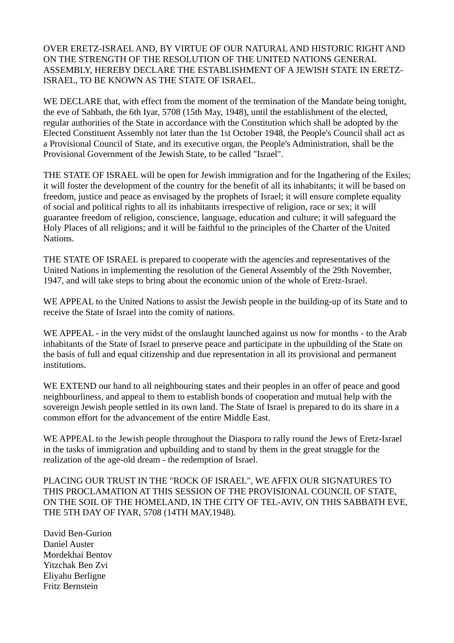OVER ERETZ-ISRAEL AND, BY VIRTUE OF OUR NATURAL AND HISTORIC RIGHT AND ON THE STRENGTH OF THE RESOLUTION OF THE UNITED NATIONS GENERAL ASSEMBLY, HEREBY DECLARE THE ESTABLISHMENT OF A JEWISH STATE IN ERETZ-ISRAEL, TO BE KNOWN AS THE STATE OF ISRAEL.

WE DECLARE that, with effect from the moment of the termination of the Mandate being tonight, the eve of Sabbath, the 6th Iyar, 5708 (15th May, 1948), until the establishment of the elected, regular authorities of the State in accordance with the Constitution which shall be adopted by the Elected Constituent Assembly not later than the 1st October 1948, the People's Council shall act as a Provisional Council of State, and its executive organ, the People's Administration, shall be the Provisional Government of the Jewish State, to be called "Israel".

THE STATE OF ISRAEL will be open for Jewish immigration and for the Ingathering of the Exiles; it will foster the development of the country for the benefit of all its inhabitants; it will be based on freedom, justice and peace as envisaged by the prophets of Israel; it will ensure complete equality of social and political rights to all its inhabitants irrespective of religion, race or sex; it will guarantee freedom of religion, conscience, language, education and culture; it will safeguard the Holy Places of all religions; and it will be faithful to the principles of the Charter of the United Nations.

THE STATE OF ISRAEL is prepared to cooperate with the agencies and representatives of the United Nations in implementing the resolution of the General Assembly of the 29th November, 1947, and will take steps to bring about the economic union of the whole of Eretz-Israel.

WE APPEAL to the United Nations to assist the Jewish people in the building-up of its State and to receive the State of Israel into the comity of nations.

WE APPEAL - in the very midst of the onslaught launched against us now for months - to the Arab inhabitants of the State of Israel to preserve peace and participate in the upbuilding of the State on the basis of full and equal citizenship and due representation in all its provisional and permanent institutions.

WE EXTEND our hand to all neighbouring states and their peoples in an offer of peace and good neighbourliness, and appeal to them to establish bonds of cooperation and mutual help with the sovereign Jewish people settled in its own land. The State of Israel is prepared to do its share in a common effort for the advancement of the entire Middle East.

WE APPEAL to the Jewish people throughout the Diaspora to rally round the Jews of Eretz-Israel in the tasks of immigration and upbuilding and to stand by them in the great struggle for the realization of the age-old dream - the redemption of Israel.

PLACING OUR TRUST IN THE "ROCK OF ISRAEL", WE AFFIX OUR SIGNATURES TO THIS PROCLAMATION AT THIS SESSION OF THE PROVISIONAL COUNCIL OF STATE, ON THE SOIL OF THE HOMELAND, IN THE CITY OF TEL-AVIV, ON THIS SABBATH EVE, THE 5TH DAY OF IYAR, 5708 (14TH MAY,1948).

David Ben-Gurion Daniel Auster Mordekhai Bentov Yitzchak Ben Zvi Eliyahu Berligne Fritz Bernstein